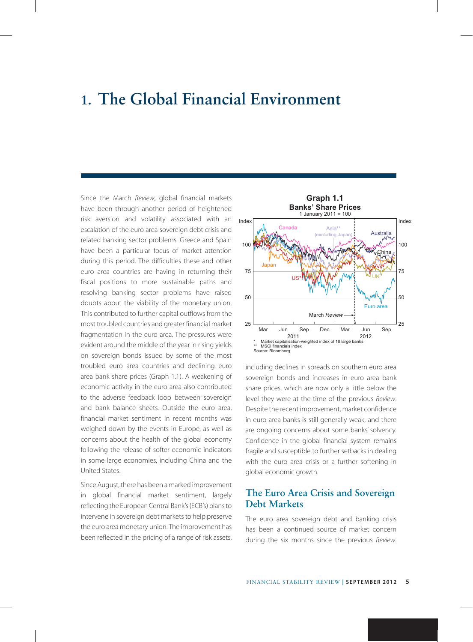# **1. The Global Financial Environment**

Since the March *Review*, global financial markets have been through another period of heightened risk aversion and volatility associated with an escalation of the euro area sovereign debt crisis and related banking sector problems. Greece and Spain have been a particular focus of market attention during this period. The difficulties these and other euro area countries are having in returning their fiscal positions to more sustainable paths and resolving banking sector problems have raised doubts about the viability of the monetary union. This contributed to further capital outflows from the most troubled countries and greater financial market fragmentation in the euro area. The pressures were evident around the middle of the year in rising yields on sovereign bonds issued by some of the most troubled euro area countries and declining euro area bank share prices (Graph 1.1). A weakening of economic activity in the euro area also contributed to the adverse feedback loop between sovereign and bank balance sheets. Outside the euro area, financial market sentiment in recent months was weighed down by the events in Europe, as well as concerns about the health of the global economy following the release of softer economic indicators in some large economies, including China and the United States.

Since August, there has been a marked improvement in global financial market sentiment, largely reflecting the European Central Bank's (ECB's) plans to intervene in sovereign debt markets to help preserve the euro area monetary union. The improvement has been reflected in the pricing of a range of risk assets,



including declines in spreads on southern euro area sovereign bonds and increases in euro area bank share prices, which are now only a little below the level they were at the time of the previous *Review*. Despite the recent improvement, market confidence in euro area banks is still generally weak, and there are ongoing concerns about some banks' solvency. Confidence in the global financial system remains fragile and susceptible to further setbacks in dealing with the euro area crisis or a further softening in global economic growth.

## **The Euro Area Crisis and Sovereign Debt Markets**

The euro area sovereign debt and banking crisis has been a continued source of market concern during the six months since the previous *Review*.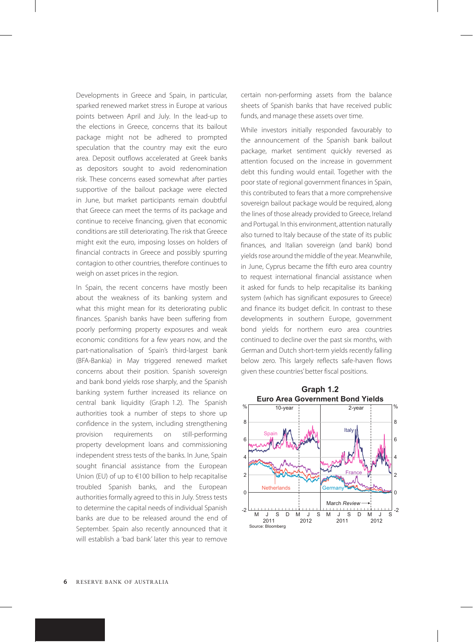Developments in Greece and Spain, in particular, sparked renewed market stress in Europe at various points between April and July. In the lead-up to the elections in Greece, concerns that its bailout package might not be adhered to prompted speculation that the country may exit the euro area. Deposit outflows accelerated at Greek banks as depositors sought to avoid redenomination risk. These concerns eased somewhat after parties supportive of the bailout package were elected in June, but market participants remain doubtful that Greece can meet the terms of its package and continue to receive financing, given that economic conditions are still deteriorating. The risk that Greece might exit the euro, imposing losses on holders of financial contracts in Greece and possibly spurring contagion to other countries, therefore continues to weigh on asset prices in the region.

In Spain, the recent concerns have mostly been about the weakness of its banking system and what this might mean for its deteriorating public finances. Spanish banks have been suffering from poorly performing property exposures and weak economic conditions for a few years now, and the part-nationalisation of Spain's third-largest bank (BFA-Bankia) in May triggered renewed market concerns about their position. Spanish sovereign and bank bond yields rose sharply, and the Spanish banking system further increased its reliance on central bank liquidity (Graph 1.2). The Spanish authorities took a number of steps to shore up confidence in the system, including strengthening provision requirements on still-performing property development loans and commissioning independent stress tests of the banks. In June, Spain sought financial assistance from the European Union (EU) of up to €100 billion to help recapitalise troubled Spanish banks, and the European authorities formally agreed to this in July. Stress tests to determine the capital needs of individual Spanish banks are due to be released around the end of September. Spain also recently announced that it will establish a 'bad bank' later this year to remove certain non-performing assets from the balance sheets of Spanish banks that have received public funds, and manage these assets over time.

While investors initially responded favourably to the announcement of the Spanish bank bailout package, market sentiment quickly reversed as attention focused on the increase in government debt this funding would entail. Together with the poor state of regional government finances in Spain, this contributed to fears that a more comprehensive sovereign bailout package would be required, along the lines of those already provided to Greece, Ireland and Portugal. In this environment, attention naturally also turned to Italy because of the state of its public finances, and Italian sovereign (and bank) bond yields rose around the middle of the year. Meanwhile, in June, Cyprus became the fifth euro area country to request international financial assistance when it asked for funds to help recapitalise its banking system (which has significant exposures to Greece) and finance its budget deficit. In contrast to these developments in southern Europe, government bond yields for northern euro area countries continued to decline over the past six months, with German and Dutch short-term yields recently falling below zero. This largely reflects safe-haven flows given these countries' better fiscal positions.

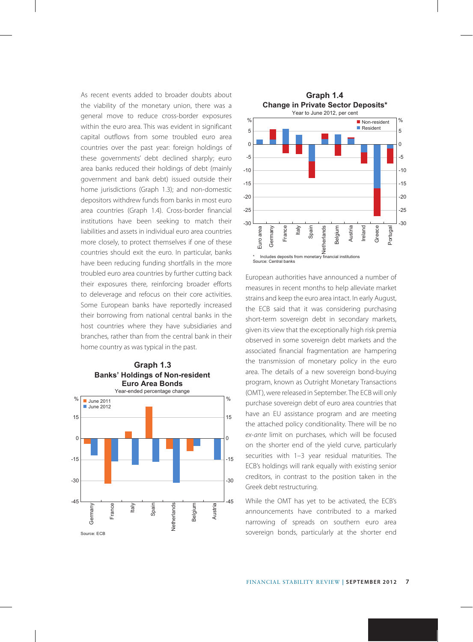As recent events added to broader doubts about the viability of the monetary union, there was a general move to reduce cross-border exposures within the euro area. This was evident in significant capital outflows from some troubled euro area countries over the past year: foreign holdings of these governments' debt declined sharply; euro area banks reduced their holdings of debt (mainly government and bank debt) issued outside their home jurisdictions (Graph 1.3); and non-domestic depositors withdrew funds from banks in most euro area countries (Graph 1.4). Cross-border financial institutions have been seeking to match their liabilities and assets in individual euro area countries more closely, to protect themselves if one of these countries should exit the euro. In particular, banks have been reducing funding shortfalls in the more troubled euro area countries by further cutting back their exposures there, reinforcing broader efforts to deleverage and refocus on their core activities. Some European banks have reportedly increased their borrowing from national central banks in the host countries where they have subsidiaries and branches, rather than from the central bank in their home country as was typical in the past.





European authorities have announced a number of measures in recent months to help alleviate market strains and keep the euro area intact. In early August, the ECB said that it was considering purchasing short-term sovereign debt in secondary markets, given its view that the exceptionally high risk premia observed in some sovereign debt markets and the associated financial fragmentation are hampering the transmission of monetary policy in the euro area. The details of a new sovereign bond-buying program, known as Outright Monetary Transactions (OMT), were released in September. The ECB will only purchase sovereign debt of euro area countries that have an EU assistance program and are meeting the attached policy conditionality. There will be no *ex-ante* limit on purchases, which will be focused on the shorter end of the yield curve, particularly securities with 1–3 year residual maturities. The ECB's holdings will rank equally with existing senior creditors, in contrast to the position taken in the Greek debt restructuring.

While the OMT has yet to be activated, the ECB's announcements have contributed to a marked narrowing of spreads on southern euro area sovereign bonds, particularly at the shorter end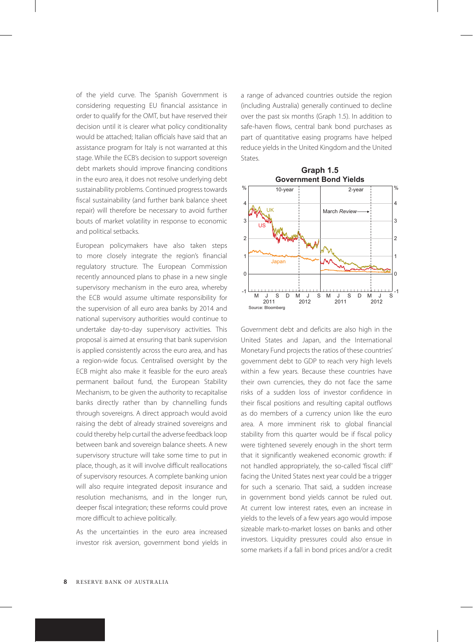of the yield curve. The Spanish Government is considering requesting EU financial assistance in order to qualify for the OMT, but have reserved their decision until it is clearer what policy conditionality would be attached; Italian officials have said that an assistance program for Italy is not warranted at this stage. While the ECB's decision to support sovereign debt markets should improve financing conditions in the euro area, it does not resolve underlying debt sustainability problems. Continued progress towards fiscal sustainability (and further bank balance sheet repair) will therefore be necessary to avoid further bouts of market volatility in response to economic and political setbacks.

European policymakers have also taken steps to more closely integrate the region's financial regulatory structure. The European Commission recently announced plans to phase in a new single supervisory mechanism in the euro area, whereby the ECB would assume ultimate responsibility for the supervision of all euro area banks by 2014 and national supervisory authorities would continue to undertake day-to-day supervisory activities. This proposal is aimed at ensuring that bank supervision is applied consistently across the euro area, and has a region-wide focus. Centralised oversight by the ECB might also make it feasible for the euro area's permanent bailout fund, the European Stability Mechanism, to be given the authority to recapitalise banks directly rather than by channelling funds through sovereigns. A direct approach would avoid raising the debt of already strained sovereigns and could thereby help curtail the adverse feedback loop between bank and sovereign balance sheets. A new supervisory structure will take some time to put in place, though, as it will involve difficult reallocations of supervisory resources. A complete banking union will also require integrated deposit insurance and resolution mechanisms, and in the longer run, deeper fiscal integration; these reforms could prove more difficult to achieve politically.

As the uncertainties in the euro area increased investor risk aversion, government bond yields in a range of advanced countries outside the region (including Australia) generally continued to decline over the past six months (Graph 1.5). In addition to safe-haven flows, central bank bond purchases as part of quantitative easing programs have helped reduce yields in the United Kingdom and the United States.



Government debt and deficits are also high in the United States and Japan, and the International Monetary Fund projects the ratios of these countries' government debt to GDP to reach very high levels within a few years. Because these countries have their own currencies, they do not face the same risks of a sudden loss of investor confidence in their fiscal positions and resulting capital outflows as do members of a currency union like the euro area. A more imminent risk to global financial stability from this quarter would be if fiscal policy were tightened severely enough in the short term that it significantly weakened economic growth: if not handled appropriately, the so-called 'fiscal cliff' facing the United States next year could be a trigger for such a scenario. That said, a sudden increase in government bond yields cannot be ruled out. At current low interest rates, even an increase in yields to the levels of a few years ago would impose sizeable mark-to-market losses on banks and other investors. Liquidity pressures could also ensue in some markets if a fall in bond prices and/or a credit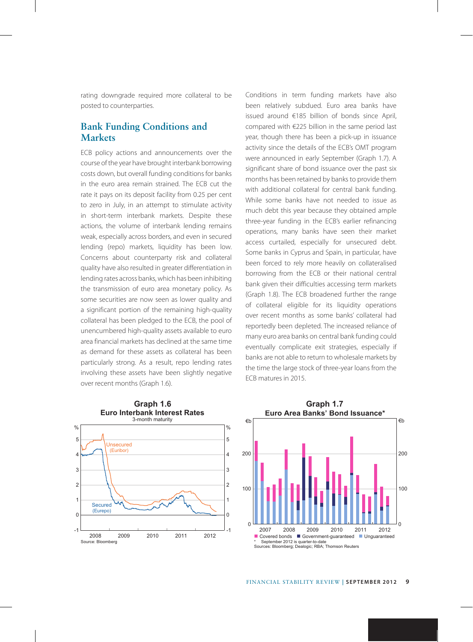rating downgrade required more collateral to be posted to counterparties.

#### **Bank Funding Conditions and Markets**

ECB policy actions and announcements over the course of the year have brought interbank borrowing costs down, but overall funding conditions for banks in the euro area remain strained. The ECB cut the rate it pays on its deposit facility from 0.25 per cent to zero in July, in an attempt to stimulate activity in short-term interbank markets. Despite these actions, the volume of interbank lending remains weak, especially across borders, and even in secured lending (repo) markets, liquidity has been low. Concerns about counterparty risk and collateral quality have also resulted in greater differentiation in lending rates across banks, which has been inhibiting the transmission of euro area monetary policy. As some securities are now seen as lower quality and a significant portion of the remaining high-quality collateral has been pledged to the ECB, the pool of unencumbered high-quality assets available to euro area financial markets has declined at the same time as demand for these assets as collateral has been particularly strong. As a result, repo lending rates involving these assets have been slightly negative over recent months (Graph 1.6).

Conditions in term funding markets have also been relatively subdued. Euro area banks have issued around €185 billion of bonds since April, compared with €225 billion in the same period last year, though there has been a pick-up in issuance activity since the details of the ECB's OMT program were announced in early September (Graph 1.7). A significant share of bond issuance over the past six months has been retained by banks to provide them with additional collateral for central bank funding. While some banks have not needed to issue as much debt this year because they obtained ample three-year funding in the ECB's earlier refinancing operations, many banks have seen their market access curtailed, especially for unsecured debt. Some banks in Cyprus and Spain, in particular, have been forced to rely more heavily on collateralised borrowing from the ECB or their national central bank given their difficulties accessing term markets (Graph 1.8). The ECB broadened further the range of collateral eligible for its liquidity operations over recent months as some banks' collateral had reportedly been depleted. The increased reliance of many euro area banks on central bank funding could eventually complicate exit strategies, especially if banks are not able to return to wholesale markets by the time the large stock of three-year loans from the ECB matures in 2015.



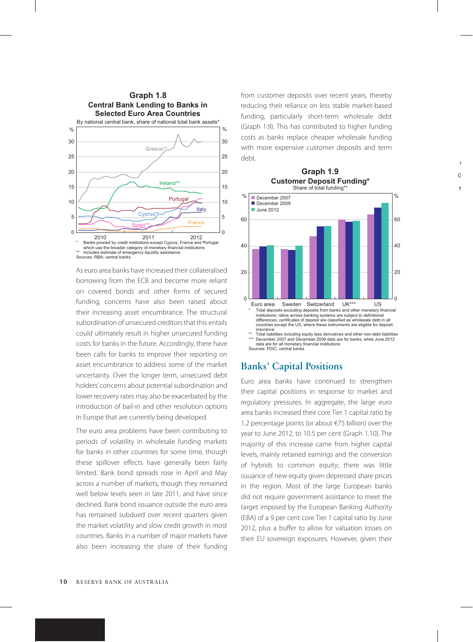

As euro area banks have increased their collateralised borrowing from the ECB and become more reliant on covered bonds and other forms of secured funding, concerns have also been raised about their increasing asset encumbrance. The structural subordination of unsecured creditors that this entails could ultimately result in higher unsecured funding costs for banks in the future. Accordingly, there have been calls for banks to improve their reporting on asset encumbrance to address some of the market uncertainty. Over the longer term, unsecured debt holders' concerns about potential subordination and lower recovery rates may also be exacerbated by the introduction of bail-in and other resolution options in Europe that are currently being developed.

The euro area problems have been contributing to periods of volatility in wholesale funding markets for banks in other countries for some time, though these spillover effects have generally been fairly limited. Bank bond spreads rose in April and May across a number of markets, though they remained well below levels seen in late 2011, and have since declined. Bank bond issuance outside the euro area has remained subdued over recent quarters given the market volatility and slow credit growth in most countries. Banks in a number of major markets have also been increasing the share of their funding from customer deposits over recent years, thereby reducing their reliance on less stable market-based funding, particularly short-term wholesale debt (Graph 1.9). This has contributed to higher funding costs as banks replace cheaper wholesale funding with more expensive customer deposits and term debt.



Sources: FDIC; central banks

## **Banks' Capital Positions**

Euro area banks have continued to strengthen their capital positions in response to market and regulatory pressures. In aggregate, the large euro area banks increased their core Tier 1 capital ratio by 1.2 percentage points (or about €75 billion) over the year to June 2012, to 10.5 per cent (Graph 1.10). The majority of this increase came from higher capital levels, mainly retained earnings and the conversion of hybrids to common equity; there was little issuance of new equity given depressed share prices in the region. Most of the large European banks did not require government assistance to meet the target imposed by the European Banking Authority (EBA) of a 9 per cent core Tier 1 capital ratio by June 2012, plus a buffer to allow for valuation losses on their EU sovereign exposures. However, given their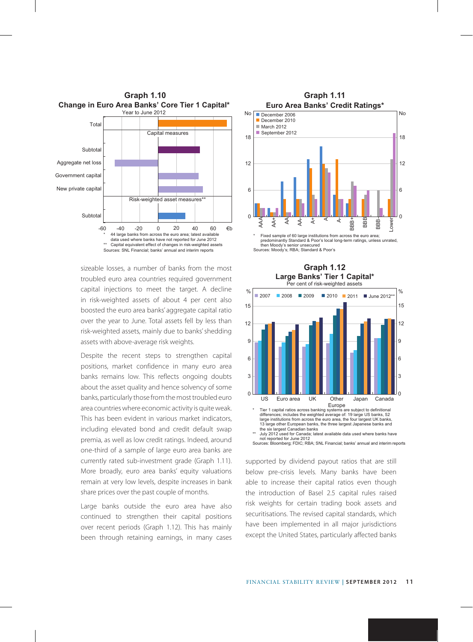

sizeable losses, a number of banks from the most troubled euro area countries required government capital injections to meet the target. A decline in risk-weighted assets of about 4 per cent also boosted the euro area banks' aggregate capital ratio over the year to June. Total assets fell by less than risk-weighted assets, mainly due to banks' shedding assets with above-average risk weights.

Despite the recent steps to strengthen capital positions, market confidence in many euro area banks remains low. This reflects ongoing doubts about the asset quality and hence solvency of some banks, particularly those from the most troubled euro area countries where economic activity is quite weak. This has been evident in various market indicators, including elevated bond and credit default swap premia, as well as low credit ratings. Indeed, around one-third of a sample of large euro area banks are currently rated sub-investment grade (Graph 1.11). More broadly, euro area banks' equity valuations remain at very low levels, despite increases in bank share prices over the past couple of months.

Large banks outside the euro area have also continued to strengthen their capital positions over recent periods (Graph 1.12). This has mainly been through retaining earnings, in many cases



Sources: Moody's; RBA; Standard & Poor's



not reported for June 2012 Sources: Bloomberg; FDIC; RBA; SNL Financial; banks' annual and interim reports

supported by dividend payout ratios that are still below pre-crisis levels. Many banks have been able to increase their capital ratios even though the introduction of Basel 2.5 capital rules raised risk weights for certain trading book assets and securitisations. The revised capital standards, which have been implemented in all major jurisdictions except the United States, particularly affected banks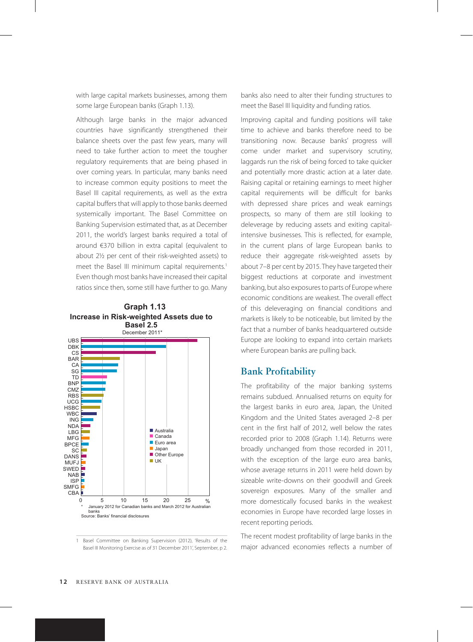with large capital markets businesses, among them some large European banks (Graph 1.13).

Although large banks in the major advanced countries have significantly strengthened their balance sheets over the past few years, many will need to take further action to meet the tougher regulatory requirements that are being phased in over coming years. In particular, many banks need to increase common equity positions to meet the Basel III capital requirements, as well as the extra capital buffers that will apply to those banks deemed systemically important. The Basel Committee on Banking Supervision estimated that, as at December 2011, the world's largest banks required a total of around €370 billion in extra capital (equivalent to about 21/2 per cent of their risk-weighted assets) to meet the Basel III minimum capital requirements.<sup>1</sup> Even though most banks have increased their capital ratios since then, some still have further to go. Many





1 Basel Committee on Banking Supervision (2012), 'Results of the Basel III Monitoring Exercise as of 31 December 2011', September, p 2. banks also need to alter their funding structures to meet the Basel III liquidity and funding ratios.

Improving capital and funding positions will take time to achieve and banks therefore need to be transitioning now. Because banks' progress will come under market and supervisory scrutiny, laggards run the risk of being forced to take quicker and potentially more drastic action at a later date. Raising capital or retaining earnings to meet higher capital requirements will be difficult for banks with depressed share prices and weak earnings prospects, so many of them are still looking to deleverage by reducing assets and exiting capitalintensive businesses. This is reflected, for example, in the current plans of large European banks to reduce their aggregate risk-weighted assets by about 7–8 per cent by 2015. They have targeted their biggest reductions at corporate and investment banking, but also exposures to parts of Europe where economic conditions are weakest. The overall effect of this deleveraging on financial conditions and markets is likely to be noticeable, but limited by the fact that a number of banks headquartered outside Europe are looking to expand into certain markets where European banks are pulling back.

#### **Bank Profitability**

The profitability of the major banking systems remains subdued. Annualised returns on equity for the largest banks in euro area, Japan, the United Kingdom and the United States averaged 2–8 per cent in the first half of 2012, well below the rates recorded prior to 2008 (Graph 1.14). Returns were broadly unchanged from those recorded in 2011, with the exception of the large euro area banks, whose average returns in 2011 were held down by sizeable write-downs on their goodwill and Greek sovereign exposures. Many of the smaller and more domestically focused banks in the weakest economies in Europe have recorded large losses in recent reporting periods.

The recent modest profitability of large banks in the major advanced economies reflects a number of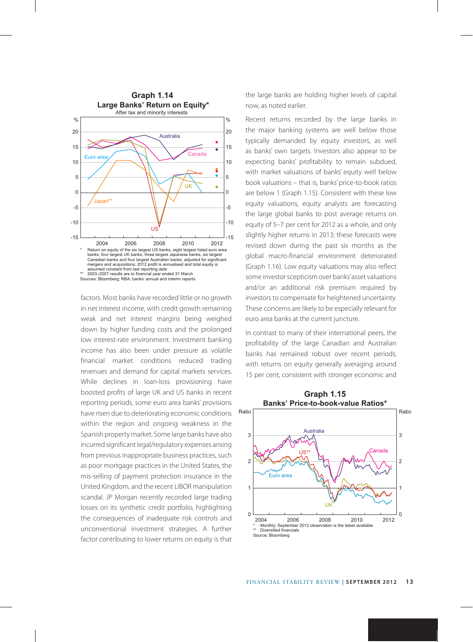

factors. Most banks have recorded little or no growth in net interest income, with credit growth remaining weak and net interest margins being weighed down by higher funding costs and the prolonged low interest-rate environment. Investment banking income has also been under pressure as volatile financial market conditions reduced trading revenues and demand for capital markets services. While declines in loan-loss provisioning have boosted profits of large UK and US banks in recent reporting periods, some euro area banks' provisions have risen due to deteriorating economic conditions within the region and ongoing weakness in the Spanish property market. Some large banks have also incurred significant legal/regulatory expenses arising from previous inappropriate business practices, such as poor mortgage practices in the United States, the mis-selling of payment protection insurance in the United Kingdom, and the recent LIBOR manipulation scandal. JP Morgan recently recorded large trading losses on its synthetic credit portfolio, highlighting the consequences of inadequate risk controls and unconventional investment strategies. A further factor contributing to lower returns on equity is that the large banks are holding higher levels of capital now, as noted earlier.

Recent returns recorded by the large banks in the major banking systems are well below those typically demanded by equity investors, as well as banks' own targets. Investors also appear to be expecting banks' profitability to remain subdued, with market valuations of banks' equity well below book valuations – that is, banks' price-to-book ratios are below 1 (Graph 1.15). Consistent with these low equity valuations, equity analysts are forecasting the large global banks to post average returns on equity of 5–7 per cent for 2012 as a whole, and only slightly higher returns in 2013; these forecasts were revised down during the past six months as the global macro-financial environment deteriorated (Graph 1.16). Low equity valuations may also reflect some investor scepticism over banks' asset valuations and/or an additional risk premium required by investors to compensate for heightened uncertainty. These concerns are likely to be especially relevant for euro area banks at the current juncture.

In contrast to many of their international peers, the profitability of the large Canadian and Australian banks has remained robust over recent periods, with returns on equity generally averaging around 15 per cent, consistent with stronger economic and

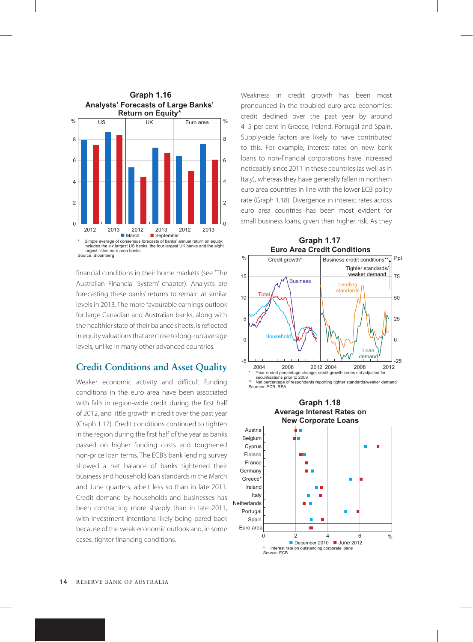

financial conditions in their home markets (see 'The Australian Financial System' chapter). Analysts are forecasting these banks' returns to remain at similar levels in 2013. The more favourable earnings outlook for large Canadian and Australian banks, along with the healthier state of their balance sheets, is reflected in equity valuations that are close to long-run average levels, unlike in many other advanced countries.

#### **Credit Conditions and Asset Quality**

Weaker economic activity and difficult funding conditions in the euro area have been associated with falls in region-wide credit during the first half of 2012, and little growth in credit over the past year (Graph 1.17). Credit conditions continued to tighten in the region during the first half of the year as banks passed on higher funding costs and toughened non-price loan terms. The ECB's bank lending survey showed a net balance of banks tightened their business and household loan standards in the March and June quarters, albeit less so than in late 2011. Credit demand by households and businesses has been contracting more sharply than in late 2011, with investment intentions likely being pared back because of the weak economic outlook and, in some cases, tighter financing conditions.

Weakness in credit growth has been most pronounced in the troubled euro area economies; credit declined over the past year by around 4–5 per cent in Greece, Ireland, Portugal and Spain. Supply-side factors are likely to have contributed to this. For example, interest rates on new bank loans to non-financial corporations have increased noticeably since 2011 in these countries (as well as in Italy), whereas they have generally fallen in northern euro area countries in line with the lower ECB policy rate (Graph 1.18). Divergence in interest rates across euro area countries has been most evident for small business loans, given their higher risk. As they



\*\* Net percentage of respondents reporting tighter standards/weaker demand Sources: ECB; RBA

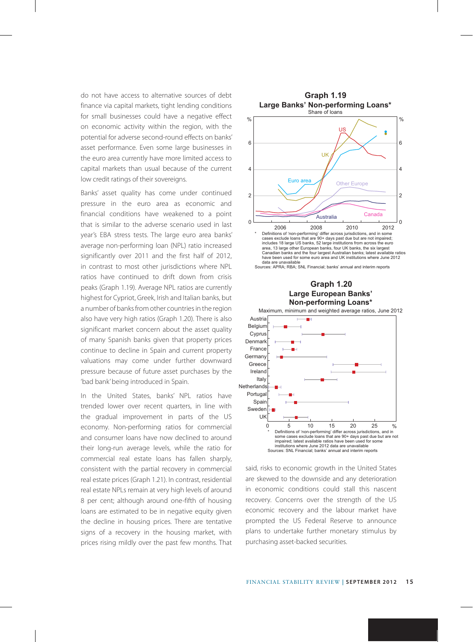do not have access to alternative sources of debt finance via capital markets, tight lending conditions for small businesses could have a negative effect on economic activity within the region, with the potential for adverse second-round effects on banks' asset performance. Even some large businesses in the euro area currently have more limited access to capital markets than usual because of the current low credit ratings of their sovereigns.

Banks' asset quality has come under continued pressure in the euro area as economic and financial conditions have weakened to a point that is similar to the adverse scenario used in last year's EBA stress tests. The large euro area banks' average non-performing loan (NPL) ratio increased significantly over 2011 and the first half of 2012, in contrast to most other jurisdictions where NPL ratios have continued to drift down from crisis peaks (Graph 1.19). Average NPL ratios are currently highest for Cypriot, Greek, Irish and Italian banks, but a number of banks from other countries in the region also have very high ratios (Graph 1.20). There is also significant market concern about the asset quality of many Spanish banks given that property prices continue to decline in Spain and current property valuations may come under further downward pressure because of future asset purchases by the 'bad bank' being introduced in Spain.

In the United States, banks' NPL ratios have trended lower over recent quarters, in line with the gradual improvement in parts of the US economy. Non-performing ratios for commercial and consumer loans have now declined to around their long-run average levels, while the ratio for commercial real estate loans has fallen sharply, consistent with the partial recovery in commercial real estate prices (Graph 1.21). In contrast, residential real estate NPLs remain at very high levels of around 8 per cent; although around one-fifth of housing loans are estimated to be in negative equity given the decline in housing prices. There are tentative signs of a recovery in the housing market, with prices rising mildly over the past few months. That





said, risks to economic growth in the United States are skewed to the downside and any deterioration in economic conditions could stall this nascent recovery. Concerns over the strength of the US economic recovery and the labour market have prompted the US Federal Reserve to announce plans to undertake further monetary stimulus by purchasing asset-backed securities.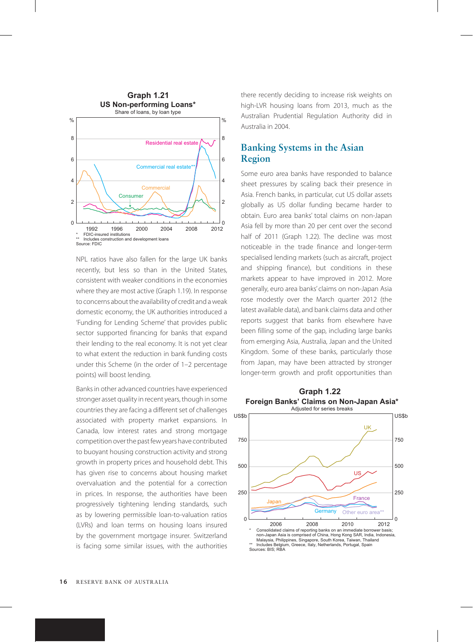

NPL ratios have also fallen for the large UK banks recently, but less so than in the United States, consistent with weaker conditions in the economies where they are most active (Graph 1.19). In response to concerns about the availability of credit and a weak domestic economy, the UK authorities introduced a 'Funding for Lending Scheme' that provides public sector supported financing for banks that expand their lending to the real economy. It is not yet clear to what extent the reduction in bank funding costs under this Scheme (in the order of 1–2 percentage points) will boost lending.

Banks in other advanced countries have experienced stronger asset quality in recent years, though in some countries they are facing a different set of challenges associated with property market expansions. In Canada, low interest rates and strong mortgage competition over the past few years have contributed to buoyant housing construction activity and strong growth in property prices and household debt. This has given rise to concerns about housing market overvaluation and the potential for a correction in prices. In response, the authorities have been progressively tightening lending standards, such as by lowering permissible loan-to-valuation ratios (LVRs) and loan terms on housing loans insured by the government mortgage insurer. Switzerland is facing some similar issues, with the authorities there recently deciding to increase risk weights on high-LVR housing loans from 2013, much as the Australian Prudential Regulation Authority did in Australia in 2004.

# **Banking Systems in the Asian Region**

Some euro area banks have responded to balance sheet pressures by scaling back their presence in Asia. French banks, in particular, cut US dollar assets globally as US dollar funding became harder to obtain. Euro area banks' total claims on non-Japan Asia fell by more than 20 per cent over the second half of 2011 (Graph 1.22). The decline was most noticeable in the trade finance and longer-term specialised lending markets (such as aircraft, project and shipping finance), but conditions in these markets appear to have improved in 2012. More generally, euro area banks' claims on non-Japan Asia rose modestly over the March quarter 2012 (the latest available data), and bank claims data and other reports suggest that banks from elsewhere have been filling some of the gap, including large banks from emerging Asia, Australia, Japan and the United Kingdom. Some of these banks, particularly those from Japan, may have been attracted by stronger longer-term growth and profit opportunities than



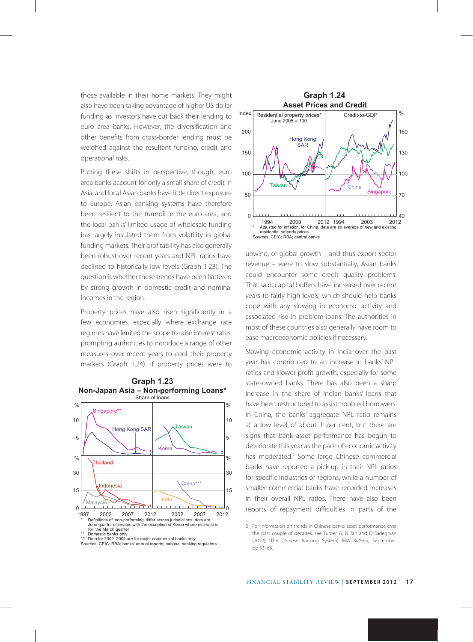those available in their home markets. They might **Graph 1.24** also have been taking advantage of higher US dollar funding as investors have cut back their lending to euro area banks. However, the diversification and other benefits from cross-border lending must be weighed against the resultant funding, credit and operational risks.

Putting these shifts in perspective, though, euro area banks account for only a small share of credit in Asia, and local Asian banks have little direct exposure to Europe. Asian banking systems have therefore been resilient to the turmoil in the euro area, and the local banks' limited usage of wholesale funding has largely insulated them from volatility in global funding markets. Their profitability has also generally been robust over recent years and NPL ratios have declined to historically low levels (Graph 1.23). The question is whether these trends have been flattered by strong growth in domestic credit and nominal incomes in the region.

Property prices have also risen significantly in a few economies, especially where exchange rate regimes have limited the scope to raise interest rates, prompting authorities to introduce a range of other measures over recent years to cool their property markets (Graph 1.24). If property prices were to



Data for 2002–2004 are for major commercial banks only



unwind, or global growth – and thus export sector revenue – were to slow substantially, Asian banks could encounter some credit quality problems. That said, capital buffers have increased over recent years to fairly high levels, which should help banks cope with any slowing in economic activity and associated rise in problem loans. The authorities in most of these countries also generally have room to ease macroeconomic policies if necessary.

Slowing economic activity in India over the past year has contributed to an increase in banks' NPL ratios and slower profit growth, especially for some state-owned banks. There has also been a sharp increase in the share of Indian banks' loans that have been restructured to assist troubled borrowers. In China, the banks' aggregate NPL ratio remains at a low level of about 1 per cent, but there are signs that bank asset performance has begun to deteriorate this year as the pace of economic activity has moderated.<sup>2</sup> Some large Chinese commercial banks have reported a pick-up in their NPL ratios for specific industries or regions, while a number of smaller commercial banks have recorded increases in their overall NPL ratios. There have also been reports of repayment difficulties in parts of the

Sources: CEIC; RBA; banks' annual reports; national banking regulators

<sup>2</sup> For information on trends in Chinese banks' asset performance over the past couple of decades, see Turner G, N Tan and D Sadeghian (2012), 'The Chinese Banking System', RBA *Bulletin*, September, pp 53–63.